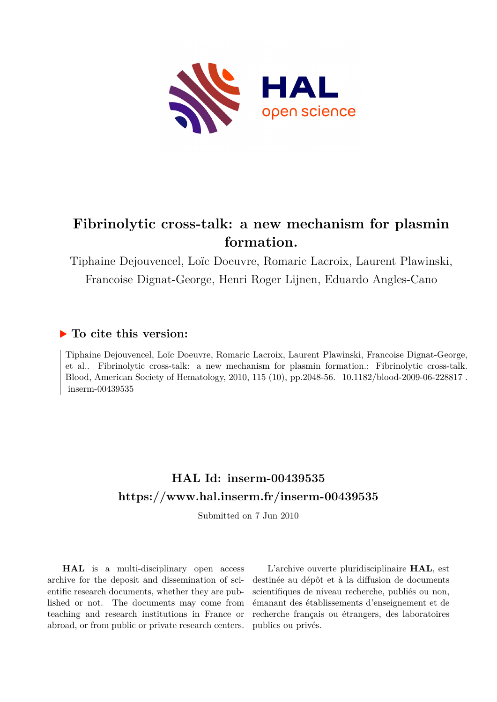

# **Fibrinolytic cross-talk: a new mechanism for plasmin formation.**

Tiphaine Dejouvencel, Loïc Doeuvre, Romaric Lacroix, Laurent Plawinski, Francoise Dignat-George, Henri Roger Lijnen, Eduardo Angles-Cano

## **To cite this version:**

Tiphaine Dejouvencel, Loïc Doeuvre, Romaric Lacroix, Laurent Plawinski, Francoise Dignat-George, et al.. Fibrinolytic cross-talk: a new mechanism for plasmin formation.: Fibrinolytic cross-talk. Blood, American Society of Hematology, 2010, 115 (10), pp.2048-56. 10.1182/blood-2009-06-228817. inserm-00439535

# **HAL Id: inserm-00439535 <https://www.hal.inserm.fr/inserm-00439535>**

Submitted on 7 Jun 2010

**HAL** is a multi-disciplinary open access archive for the deposit and dissemination of scientific research documents, whether they are published or not. The documents may come from teaching and research institutions in France or abroad, or from public or private research centers.

L'archive ouverte pluridisciplinaire **HAL**, est destinée au dépôt et à la diffusion de documents scientifiques de niveau recherche, publiés ou non, émanant des établissements d'enseignement et de recherche français ou étrangers, des laboratoires publics ou privés.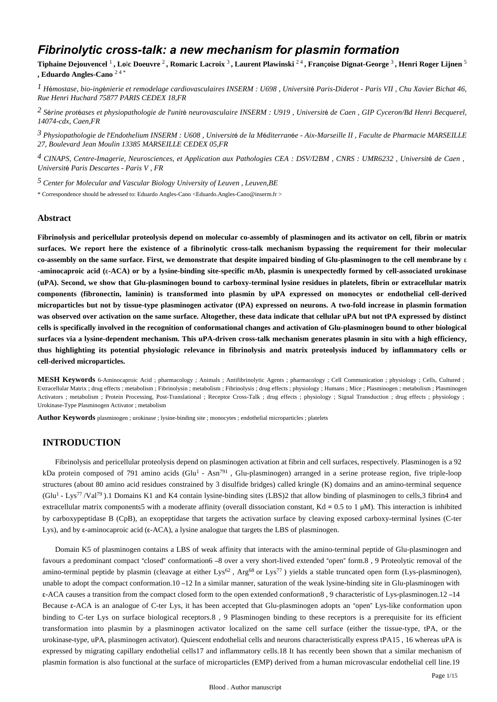## *Fibrinolytic cross-talk: a new mechanism for plasmin formation*

**Tiphaine Dejouvencel** <sup>1</sup> **, Lo**ï**c Doeuvre** <sup>2</sup> **, Romaric Lacroix** <sup>3</sup> **, Laurent Plawinski** 2 4 **, Fran**ç**oise Dignat-George** <sup>3</sup> **, Henri Roger Lijnen** <sup>5</sup> **, Eduardo Angles-Cano** 2 4 \*

<sup>*I*</sup> *H*émostase, bio-ingénierie et remodelage cardiovasculaires INSERM : U698, Université Paris-Diderot - Paris VII, Chu Xavier Bichat 46, *Rue Henri Huchard 75877 PARIS CEDEX 18,FR*

<sup>2</sup> Sérine protéases et physiopathologie de l'unité neurovasculaire INSERM : U919, Université de Caen, GIP Cyceron/Bd Henri Becquerel, *14074-cdx, Caen,FR*

*Physiopathologie de l Endothelium 3*  ' *INSERM : U608 , Universit*é *de la M*é*diterran*é*e - Aix-Marseille II , Faculte de Pharmacie MARSEILLE 27, Boulevard Jean Moulin 13385 MARSEILLE CEDEX 05,FR*

*CINAPS, Centre-Imagerie, Neurosciences, et Application aux Pathologies 4 CEA : DSV/I2BM , CNRS : UMR6232 , Universit*é *de Caen , Universit*é *Paris Descartes - Paris V , FR*

*Center for Molecular and Vascular Biology 5 University of Leuven , Leuven,BE*

\* Correspondence should be adressed to: Eduardo Angles-Cano <Eduardo.Angles-Cano@inserm.fr >

## **Abstract**

**Fibrinolysis and pericellular proteolysis depend on molecular co-assembly of plasminogen and its activator on cell, fibrin or matrix surfaces. We report here the existence of a fibrinolytic cross-talk mechanism bypassing the requirement for their molecular co-assembly on the same surface. First, we demonstrate that despite impaired binding of Glu-plasminogen to the cell membrane by** ε **-aminocaproic acid (**ε**-ACA) or by a lysine-binding site-specific mAb, plasmin is unexpectedly formed by cell-associated urokinase (uPA). Second, we show that Glu-plasminogen bound to carboxy-terminal lysine residues in platelets, fibrin or extracellular matrix components (fibronectin, laminin) is transformed into plasmin by uPA expressed on monocytes or endothelial cell-derived microparticles but not by tissue-type plasminogen activator (tPA) expressed on neurons. A two-fold increase in plasmin formation was observed over activation on the same surface. Altogether, these data indicate that cellular uPA but not tPA expressed by distinct cells is specifically involved in the recognition of conformational changes and activation of Glu-plasminogen bound to other biological surfaces via a lysine-dependent mechanism. This uPA-driven cross-talk mechanism generates plasmin in situ with a high efficiency, thus highlighting its potential physiologic relevance in fibrinolysis and matrix proteolysis induced by inflammatory cells or cell-derived microparticles.**

**MESH Keywords** 6-Aminocaproic Acid ; pharmacology ; Animals ; Antifibrinolytic Agents ; pharmacology ; Cell Communication ; physiology ; Cells, Cultured ; Extracellular Matrix ; drug effects ; metabolism ; Fibrinolysin ; metabolism ; Fibrinolysis ; drug effects ; physiology ; Humans ; Mice ; Plasminogen ; metabolism ; Plasminogen Activators ; metabolism ; Protein Processing, Post-Translational ; Receptor Cross-Talk ; drug effects ; physiology ; Signal Transduction ; drug effects ; physiology ; Urokinase-Type Plasminogen Activator ; metabolism

**Author Keywords** plasminogen ; urokinase ; lysine-binding site ; monocytes ; endothelial microparticles ; platelets

## **INTRODUCTION**

Fibrinolysis and pericellular proteolysis depend on plasminogen activation at fibrin and cell surfaces, respectively. Plasminogen is a 92 kDa protein composed of 791 amino acids (Glu<sup>1</sup> - Asn<sup>791</sup>, Glu-plasminogen) arranged in a serine protease region, five triple-loop structures (about 80 amino acid residues constrained by 3 disulfide bridges) called kringle (K) domains and an amino-terminal sequence  $(Glu<sup>1</sup> - Lys<sup>77</sup>/Val<sup>79</sup>)$ . 1 Domains K1 and K4 contain lysine-binding sites (LBS)2 that allow binding of plasminogen to cells, 3 fibrin 4 and extracellular matrix components5 with a moderate affinity (overall dissociation constant,  $Kd = 0.5$  to 1  $\mu$ M). This interaction is inhibited by carboxypeptidase B (CpB), an exopeptidase that targets the activation surface by cleaving exposed carboxy-terminal lysines (C-ter Lys), and by ε-aminocaproic acid (ε-ACA), a lysine analogue that targets the LBS of plasminogen.

Domain K5 of plasminogen contains a LBS of weak affinity that interacts with the amino-terminal peptide of Glu-plasminogen and favours a predominant compact "closed" conformation6 –8 over a very short-lived extended "open" form.8 , 9 Proteolytic removal of the amino-terminal peptide by plasmin (cleavage at either Lys<sup>62</sup>, Arg<sup>68</sup> or Lys<sup>77</sup>) yields a stable truncated open form (Lys-plasminogen), unable to adopt the compact conformation.10 –12 In a similar manner, saturation of the weak lysine-binding site in Glu-plasminogen with ε-ACA causes a transition from the compact closed form to the open extended conformation8 , 9 characteristic of Lys-plasminogen.12 –14 Because ε-ACA is an analogue of C-ter Lys, it has been accepted that Glu-plasminogen adopts an "open" Lys-like conformation upon binding to C-ter Lys on surface biological receptors.8, 9 Plasminogen binding to these receptors is a prerequisite for its efficient transformation into plasmin by a plasminogen activator localized on the same cell surface (either the tissue-type, tPA, or the urokinase-type, uPA, plasminogen activator). Quiescent endothelial cells and neurons characteristically express tPA15 , 16 whereas uPA is expressed by migrating capillary endothelial cells17 and inflammatory cells.18 It has recently been shown that a similar mechanism of plasmin formation is also functional at the surface of microparticles (EMP) derived from a human microvascular endothelial cell line.19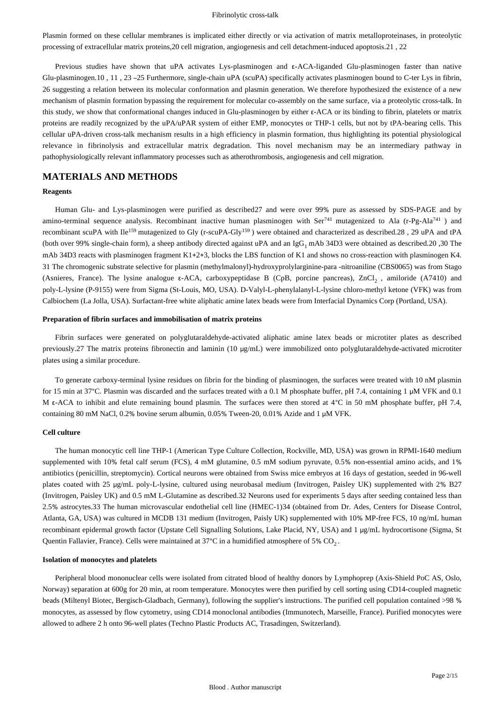Plasmin formed on these cellular membranes is implicated either directly or via activation of matrix metalloproteinases, in proteolytic processing of extracellular matrix proteins,20 cell migration, angiogenesis and cell detachment-induced apoptosis.21 , 22

Previous studies have shown that uPA activates Lys-plasminogen and ε-ACA-liganded Glu-plasminogen faster than native Glu-plasminogen.10 , 11 , 23 –25 Furthermore, single-chain uPA (scuPA) specifically activates plasminogen bound to C-ter Lys in fibrin, 26 suggesting a relation between its molecular conformation and plasmin generation. We therefore hypothesized the existence of a new mechanism of plasmin formation bypassing the requirement for molecular co-assembly on the same surface, via a proteolytic cross-talk. In this study, we show that conformational changes induced in Glu-plasminogen by either ε-ACA or its binding to fibrin, platelets or matrix proteins are readily recognized by the uPA/uPAR system of either EMP, monocytes or THP-1 cells, but not by tPA-bearing cells. This cellular uPA-driven cross-talk mechanism results in a high efficiency in plasmin formation, thus highlighting its potential physiological relevance in fibrinolysis and extracellular matrix degradation. This novel mechanism may be an intermediary pathway in pathophysiologically relevant inflammatory processes such as atherothrombosis, angiogenesis and cell migration.

## **MATERIALS AND METHODS**

#### **Reagents**

Human Glu- and Lys-plasminogen were purified as described27 and were over 99% pure as assessed by SDS-PAGE and by amino-terminal sequence analysis. Recombinant inactive human plasminogen with Ser<sup>741</sup> mutagenized to Ala (r-Pg-Ala<sup>741</sup>) and recombinant scuPA with Ile<sup>159</sup> mutagenized to Gly (r-scuPA-Gly<sup>159</sup>) were obtained and characterized as described.28, 29 uPA and tPA (both over 99% single-chain form), a sheep antibody directed against uPA and an IgG<sub>1</sub> mAb 34D3 were obtained as described. 20, 30 The mAb 34D3 reacts with plasminogen fragment K1+2+3, blocks the LBS function of K1 and shows no cross-reaction with plasminogen K4. 31 The chromogenic substrate selective for plasmin (methylmalonyl)-hydroxyprolylarginine-para -nitroaniline (CBS0065) was from Stago (Asnieres, France). The lysine analogue ε-ACA, carboxypeptidase B (CpB, porcine pancreas), ZnCl , amiloride (A7410) and <sup>2</sup> poly-L-lysine (P-9155) were from Sigma (St-Louis, MO, USA). D-Valyl-L-phenylalanyl-L-lysine chloro-methyl ketone (VFK) was from Calbiochem (La Jolla, USA). Surfactant-free white aliphatic amine latex beads were from Interfacial Dynamics Corp (Portland, USA).

#### **Preparation of fibrin surfaces and immobilisation of matrix proteins**

Fibrin surfaces were generated on polyglutaraldehyde-activated aliphatic amine latex beads or microtiter plates as described previously.27 The matrix proteins fibronectin and laminin (10 μg/mL) were immobilized onto polyglutaraldehyde-activated microtiter plates using a similar procedure.

To generate carboxy-terminal lysine residues on fibrin for the binding of plasminogen, the surfaces were treated with 10 nM plasmin for 15 min at 37°C. Plasmin was discarded and the surfaces treated with a 0.1 M phosphate buffer, pH 7.4, containing 1 μM VFK and 0.1 M ε-ACA to inhibit and elute remaining bound plasmin. The surfaces were then stored at 4°C in 50 mM phosphate buffer, pH 7.4, containing 80 mM NaCl, 0.2% bovine serum albumin, 0.05% Tween-20, 0.01% Azide and 1 μM VFK.

### **Cell culture**

The human monocytic cell line THP-1 (American Type Culture Collection, Rockville, MD, USA) was grown in RPMI-1640 medium supplemented with 10% fetal calf serum (FCS), 4 mM glutamine, 0.5 mM sodium pyruvate, 0.5% non-essential amino acids, and 1% antibiotics (penicillin, streptomycin). Cortical neurons were obtained from Swiss mice embryos at 16 days of gestation, seeded in 96-well plates coated with 25 μg/mL poly-L-lysine, cultured using neurobasal medium (Invitrogen, Paisley UK) supplemented with 2% B27 (Invitrogen, Paisley UK) and 0.5 mM L-Glutamine as described.32 Neurons used for experiments 5 days after seeding contained less than 2.5% astrocytes.33 The human microvascular endothelial cell line (HMEC-1)34 (obtained from Dr. Ades, Centers for Disease Control, Atlanta, GA, USA) was cultured in MCDB 131 medium (Invitrogen, Paisly UK) supplemented with 10% MP-free FCS, 10 ng/mL human recombinant epidermal growth factor (Upstate Cell Signalling Solutions, Lake Placid, NY, USA) and 1 μg/mL hydrocortisone (Sigma, St Quentin Fallavier, France). Cells were maintained at  $37^{\circ}$ C in a humidified atmosphere of  $5\%$  CO<sub>2</sub>.

#### **Isolation of monocytes and platelets**

Peripheral blood mononuclear cells were isolated from citrated blood of healthy donors by Lymphoprep (Axis-Shield PoC AS, Oslo, Norway) separation at 600g for 20 min, at room temperature. Monocytes were then purified by cell sorting using CD14-coupled magnetic beads (Miltenyl Biotec, Bergisch-Gladbach, Germany), following the supplier's instructions. The purified cell population contained >98 % monocytes, as assessed by flow cytometry, using CD14 monoclonal antibodies (Immunotech, Marseille, France). Purified monocytes were allowed to adhere 2 h onto 96-well plates (Techno Plastic Products AC, Trasadingen, Switzerland).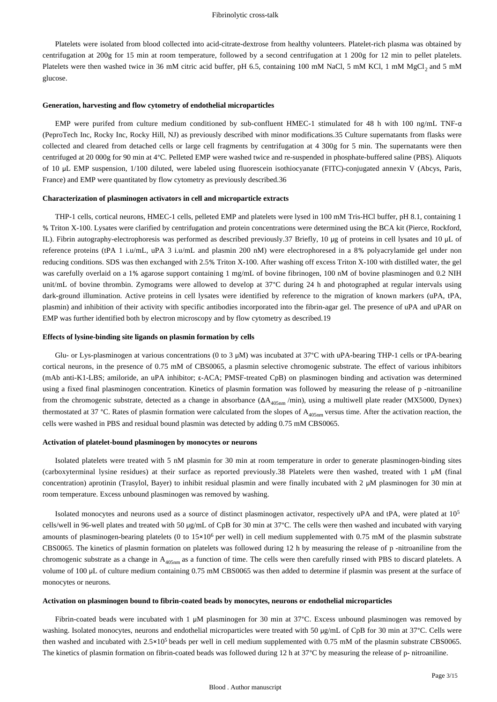Platelets were isolated from blood collected into acid-citrate-dextrose from healthy volunteers. Platelet-rich plasma was obtained by centrifugation at 200g for 15 min at room temperature, followed by a second centrifugation at 1 200g for 12 min to pellet platelets. Platelets were then washed twice in 36 mM citric acid buffer, pH 6.5, containing 100 mM NaCl, 5 mM KCl, 1 mM MgCl<sub>2</sub> and 5 mM glucose.

#### **Generation, harvesting and flow cytometry of endothelial microparticles**

EMP were purifed from culture medium conditioned by sub-confluent HMEC-1 stimulated for 48 h with 100 ng/mL TNF-α (PeproTech Inc, Rocky Inc, Rocky Hill, NJ) as previously described with minor modifications.35 Culture supernatants from flasks were collected and cleared from detached cells or large cell fragments by centrifugation at 4 300g for 5 min. The supernatants were then centrifuged at 20 000g for 90 min at 4°C. Pelleted EMP were washed twice and re-suspended in phosphate-buffered saline (PBS). Aliquots of 10 μL EMP suspension, 1/100 diluted, were labeled using fluorescein isothiocyanate (FITC)-conjugated annexin V (Abcys, Paris, France) and EMP were quantitated by flow cytometry as previously described.36

#### **Characterization of plasminogen activators in cell and microparticle extracts**

THP-1 cells, cortical neurons, HMEC-1 cells, pelleted EMP and platelets were lysed in 100 mM Tris-HCl buffer, pH 8.1, containing 1 % Triton X-100. Lysates were clarified by centrifugation and protein concentrations were determined using the BCA kit (Pierce, Rockford, IL). Fibrin autography-electrophoresis was performed as described previously.37 Briefly, 10 μg of proteins in cell lysates and 10 μL of reference proteins (tPA 1 i.u/mL, uPA 3 i.u/mL and plasmin 200 nM) were electrophoresed in a 8% polyacrylamide gel under non reducing conditions. SDS was then exchanged with 2.5% Triton X-100. After washing off excess Triton X-100 with distilled water, the gel was carefully overlaid on a 1% agarose support containing 1 mg/mL of bovine fibrinogen, 100 nM of bovine plasminogen and 0.2 NIH unit/mL of bovine thrombin. Zymograms were allowed to develop at 37°C during 24 h and photographed at regular intervals using dark-ground illumination. Active proteins in cell lysates were identified by reference to the migration of known markers (uPA, tPA, plasmin) and inhibition of their activity with specific antibodies incorporated into the fibrin-agar gel. The presence of uPA and uPAR on EMP was further identified both by electron microscopy and by flow cytometry as described.19

#### **Effects of lysine-binding site ligands on plasmin formation by cells**

Glu- or Lys-plasminogen at various concentrations (0 to 3 μM) was incubated at 37°C with uPA-bearing THP-1 cells or tPA-bearing cortical neurons, in the presence of 0.75 mM of CBS0065, a plasmin selective chromogenic substrate. The effect of various inhibitors (mAb anti-K1-LBS; amiloride, an uPA inhibitor; ε-ACA; PMSF-treated CpB) on plasminogen binding and activation was determined using a fixed final plasminogen concentration. Kinetics of plasmin formation was followed by measuring the release of p -nitroaniline from the chromogenic substrate, detected as a change in absorbance  $(\Delta A_{405nm}/min)$ , using a multiwell plate reader (MX5000, Dynex) thermostated at 37 °C. Rates of plasmin formation were calculated from the slopes of  $A_{405nm}$  versus time. After the activation reaction, the cells were washed in PBS and residual bound plasmin was detected by adding 0.75 mM CBS0065.

#### **Activation of platelet-bound plasminogen by monocytes or neurons**

Isolated platelets were treated with 5 nM plasmin for 30 min at room temperature in order to generate plasminogen-binding sites (carboxyterminal lysine residues) at their surface as reported previously.38 Platelets were then washed, treated with 1 μM (final concentration) aprotinin (Trasylol, Bayer) to inhibit residual plasmin and were finally incubated with 2 μM plasminogen for 30 min at room temperature. Excess unbound plasminogen was removed by washing.

Isolated monocytes and neurons used as a source of distinct plasminogen activator, respectively uPA and tPA, were plated at 10<sup>5</sup> cells/well in 96-well plates and treated with 50 μg/mL of CpB for 30 min at 37°C. The cells were then washed and incubated with varying amounts of plasminogen-bearing platelets (0 to  $15\times10^6$  per well) in cell medium supplemented with 0.75 mM of the plasmin substrate CBS0065. The kinetics of plasmin formation on platelets was followed during 12 h by measuring the release of p -nitroaniline from the chromogenic substrate as a change in A<sub>405nm</sub> as a function of time. The cells were then carefully rinsed with PBS to discard platelets. A volume of 100 μL of culture medium containing 0.75 mM CBS0065 was then added to determine if plasmin was present at the surface of monocytes or neurons.

#### **Activation on plasminogen bound to fibrin-coated beads by monocytes, neurons or endothelial microparticles**

Fibrin-coated beads were incubated with 1 μM plasminogen for 30 min at 37°C. Excess unbound plasminogen was removed by washing. Isolated monocytes, neurons and endothelial microparticles were treated with 50 μg/mL of CpB for 30 min at 37°C. Cells were then washed and incubated with  $2.5 \times 10^5$  beads per well in cell medium supplemented with 0.75 mM of the plasmin substrate CBS0065. The kinetics of plasmin formation on fibrin-coated beads was followed during 12 h at 37°C by measuring the release of p- nitroaniline.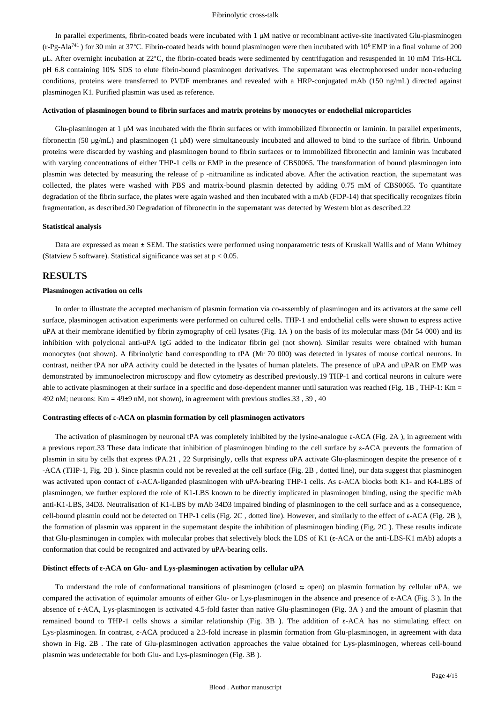In parallel experiments, fibrin-coated beads were incubated with 1 μM native or recombinant active-site inactivated Glu-plasminogen  $(r-Pg-Ala<sup>741</sup>)$  for 30 min at 37°C. Fibrin-coated beads with bound plasminogen were then incubated with 10<sup>6</sup> EMP in a final volume of 200 μL. After overnight incubation at 22°C, the fibrin-coated beads were sedimented by centrifugation and resuspended in 10 mM Tris-HCL pH 6.8 containing 10% SDS to elute fibrin-bound plasminogen derivatives. The supernatant was electrophoresed under non-reducing conditions, proteins were transferred to PVDF membranes and revealed with a HRP-conjugated mAb (150 ng/mL) directed against plasminogen K1. Purified plasmin was used as reference.

#### **Activation of plasminogen bound to fibrin surfaces and matrix proteins by monocytes or endothelial microparticles**

Glu-plasminogen at 1 μM was incubated with the fibrin surfaces or with immobilized fibronectin or laminin. In parallel experiments, fibronectin (50 μg/mL) and plasminogen (1 μM) were simultaneously incubated and allowed to bind to the surface of fibrin. Unbound proteins were discarded by washing and plasminogen bound to fibrin surfaces or to immobilized fibronectin and laminin was incubated with varying concentrations of either THP-1 cells or EMP in the presence of CBS0065. The transformation of bound plasminogen into plasmin was detected by measuring the release of p -nitroaniline as indicated above. After the activation reaction, the supernatant was collected, the plates were washed with PBS and matrix-bound plasmin detected by adding 0.75 mM of CBS0065. To quantitate degradation of the fibrin surface, the plates were again washed and then incubated with a mAb (FDP-14) that specifically recognizes fibrin fragmentation, as described.30 Degradation of fibronectin in the supernatant was detected by Western blot as described.22

#### **Statistical analysis**

Data are expressed as mean ± SEM. The statistics were performed using nonparametric tests of Kruskall Wallis and of Mann Whitney (Statview 5 software). Statistical significance was set at  $p < 0.05$ .

## **RESULTS**

## **Plasminogen activation on cells**

In order to illustrate the accepted mechanism of plasmin formation via co-assembly of plasminogen and its activators at the same cell surface, plasminogen activation experiments were performed on cultured cells. THP-1 and endothelial cells were shown to express active uPA at their membrane identified by fibrin zymography of cell lysates (Fig. 1A ) on the basis of its molecular mass (Mr 54 000) and its inhibition with polyclonal anti-uPA IgG added to the indicator fibrin gel (not shown). Similar results were obtained with human monocytes (not shown). A fibrinolytic band corresponding to tPA (Mr 70 000) was detected in lysates of mouse cortical neurons. In contrast, neither tPA nor uPA activity could be detected in the lysates of human platelets. The presence of uPA and uPAR on EMP was demonstrated by immunoelectron microscopy and flow cytometry as described previously.19 THP-1 and cortical neurons in culture were able to activate plasminogen at their surface in a specific and dose-dependent manner until saturation was reached (Fig. 1B , THP-1: Km = 492 nM; neurons: Km = 49±9 nM, not shown), in agreement with previous studies.33 , 39 , 40

#### **Contrasting effects of** ε**-ACA on plasmin formation by cell plasminogen activators**

The activation of plasminogen by neuronal tPA was completely inhibited by the lysine-analogue ε-ACA (Fig. 2A ), in agreement with a previous report.33 These data indicate that inhibition of plasminogen binding to the cell surface by ε-ACA prevents the formation of plasmin in situ by cells that express tPA.21 , 22 Surprisingly, cells that express uPA activate Glu-plasminogen despite the presence of ε -ACA (THP-1, Fig. 2B ). Since plasmin could not be revealed at the cell surface (Fig. 2B , dotted line), our data suggest that plasminogen was activated upon contact of ε-ACA-liganded plasminogen with uPA-bearing THP-1 cells. As ε-ACA blocks both K1- and K4-LBS of plasminogen, we further explored the role of K1-LBS known to be directly implicated in plasminogen binding, using the specific mAb anti-K1-LBS, 34D3. Neutralisation of K1-LBS by mAb 34D3 impaired binding of plasminogen to the cell surface and as a consequence, cell-bound plasmin could not be detected on THP-1 cells (Fig. 2C , dotted line). However, and similarly to the effect of ε-ACA (Fig. 2B ), the formation of plasmin was apparent in the supernatant despite the inhibition of plasminogen binding (Fig. 2C ). These results indicate that Glu-plasminogen in complex with molecular probes that selectively block the LBS of K1 (ε-ACA or the anti-LBS-K1 mAb) adopts a conformation that could be recognized and activated by uPA-bearing cells.

#### **Distinct effects of** ε**-ACA on Glu- and Lys-plasminogen activation by cellular uPA**

To understand the role of conformational transitions of plasminogen (closed  $\pm$  open) on plasmin formation by cellular uPA, we compared the activation of equimolar amounts of either Glu- or Lys-plasminogen in the absence and presence of ε-ACA (Fig. 3 ). In the absence of ε-ACA, Lys-plasminogen is activated 4.5-fold faster than native Glu-plasminogen (Fig. 3A ) and the amount of plasmin that remained bound to THP-1 cells shows a similar relationship (Fig. 3B ). The addition of ε-ACA has no stimulating effect on Lys-plasminogen. In contrast, ε-ACA produced a 2.3-fold increase in plasmin formation from Glu-plasminogen, in agreement with data shown in Fig. 2B . The rate of Glu-plasminogen activation approaches the value obtained for Lys-plasminogen, whereas cell-bound plasmin was undetectable for both Glu- and Lys-plasminogen (Fig. 3B ).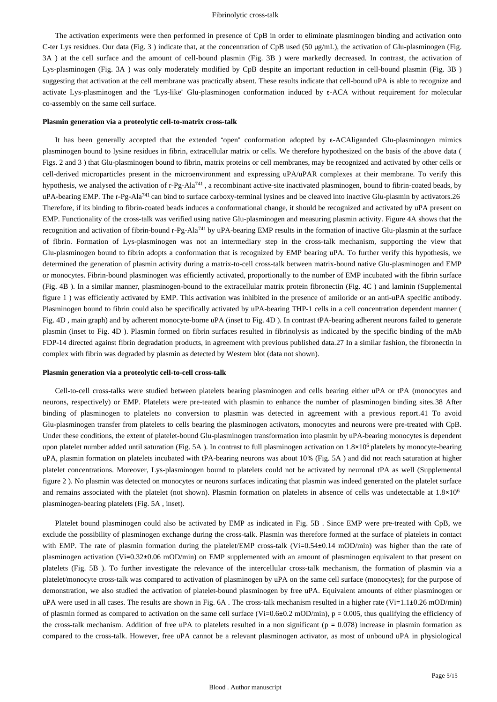The activation experiments were then performed in presence of CpB in order to eliminate plasminogen binding and activation onto C-ter Lys residues. Our data (Fig. 3 ) indicate that, at the concentration of CpB used (50 μg/mL), the activation of Glu-plasminogen (Fig. 3A ) at the cell surface and the amount of cell-bound plasmin (Fig. 3B ) were markedly decreased. In contrast, the activation of Lys-plasminogen (Fig. 3A ) was only moderately modified by CpB despite an important reduction in cell-bound plasmin (Fig. 3B ) suggesting that activation at the cell membrane was practically absent. These results indicate that cell-bound uPA is able to recognize and activate Lys-plasminogen and the "Lys-like" Glu-plasminogen conformation induced by ε-ACA without requirement for molecular co-assembly on the same cell surface.

#### **Plasmin generation via a proteolytic cell-to-matrix cross-talk**

It has been generally accepted that the extended "open" conformation adopted by ε-ACAliganded Glu-plasminogen mimics plasminogen bound to lysine residues in fibrin, extracellular matrix or cells. We therefore hypothesized on the basis of the above data ( Figs. 2 and 3 ) that Glu-plasminogen bound to fibrin, matrix proteins or cell membranes, may be recognized and activated by other cells or cell-derived microparticles present in the microenvironment and expressing uPA/uPAR complexes at their membrane. To verify this hypothesis, we analysed the activation of  $r-Pg-Ala^{741}$ , a recombinant active-site inactivated plasminogen, bound to fibrin-coated beads, by uPA-bearing EMP. The r-Pg-Ala<sup>741</sup> can bind to surface carboxy-terminal lysines and be cleaved into inactive Glu-plasmin by activators. 26 Therefore, if its binding to fibrin-coated beads induces a conformational change, it should be recognized and activated by uPA present on EMP. Functionality of the cross-talk was verified using native Glu-plasminogen and measuring plasmin activity. Figure 4A shows that the recognition and activation of fibrin-bound r-Pg-Ala<sup>741</sup> by uPA-bearing EMP results in the formation of inactive Glu-plasmin at the surface of fibrin. Formation of Lys-plasminogen was not an intermediary step in the cross-talk mechanism, supporting the view that Glu-plasminogen bound to fibrin adopts a conformation that is recognized by EMP bearing uPA. To further verify this hypothesis, we determined the generation of plasmin activity during a matrix-to-cell cross-talk between matrix-bound native Glu-plasminogen and EMP or monocytes. Fibrin-bound plasminogen was efficiently activated, proportionally to the number of EMP incubated with the fibrin surface (Fig. 4B ). In a similar manner, plasminogen-bound to the extracellular matrix protein fibronectin (Fig. 4C ) and laminin (Supplemental figure 1 ) was efficiently activated by EMP. This activation was inhibited in the presence of amiloride or an anti-uPA specific antibody. Plasminogen bound to fibrin could also be specifically activated by uPA-bearing THP-1 cells in a cell concentration dependent manner ( Fig. 4D , main graph) and by adherent monocyte-borne uPA (inset to Fig. 4D ). In contrast tPA-bearing adherent neurons failed to generate plasmin (inset to Fig. 4D ). Plasmin formed on fibrin surfaces resulted in fibrinolysis as indicated by the specific binding of the mAb FDP-14 directed against fibrin degradation products, in agreement with previous published data.27 In a similar fashion, the fibronectin in complex with fibrin was degraded by plasmin as detected by Western blot (data not shown).

#### **Plasmin generation via a proteolytic cell-to-cell cross-talk**

Cell-to-cell cross-talks were studied between platelets bearing plasminogen and cells bearing either uPA or tPA (monocytes and neurons, respectively) or EMP. Platelets were pre-teated with plasmin to enhance the number of plasminogen binding sites.38 After binding of plasminogen to platelets no conversion to plasmin was detected in agreement with a previous report.41 To avoid Glu-plasminogen transfer from platelets to cells bearing the plasminogen activators, monocytes and neurons were pre-treated with CpB. Under these conditions, the extent of platelet-bound Glu-plasminogen transformation into plasmin by uPA-bearing monocytes is dependent upon platelet number added until saturation (Fig. 5A). In contrast to full plasminogen activation on 1.8×10<sup>6</sup> platelets by monocyte-bearing uPA, plasmin formation on platelets incubated with tPA-bearing neurons was about 10% (Fig. 5A ) and did not reach saturation at higher platelet concentrations. Moreover, Lys-plasminogen bound to platelets could not be activated by neuronal tPA as well (Supplemental figure 2 ). No plasmin was detected on monocytes or neurons surfaces indicating that plasmin was indeed generated on the platelet surface and remains associated with the platelet (not shown). Plasmin formation on platelets in absence of cells was undetectable at  $1.8\times10^6$ plasminogen-bearing platelets (Fig. 5A , inset).

Platelet bound plasminogen could also be activated by EMP as indicated in Fig. 5B . Since EMP were pre-treated with CpB, we exclude the possibility of plasminogen exchange during the cross-talk. Plasmin was therefore formed at the surface of platelets in contact with EMP. The rate of plasmin formation during the platelet/EMP cross-talk (Vi=0.54±0.14 mOD/min) was higher than the rate of plasminogen activation (Vi=0.32±0.06 mOD/min) on EMP supplemented with an amount of plasminogen equivalent to that present on platelets (Fig. 5B ). To further investigate the relevance of the intercellular cross-talk mechanism, the formation of plasmin via a platelet/monocyte cross-talk was compared to activation of plasminogen by uPA on the same cell surface (monocytes); for the purpose of demonstration, we also studied the activation of platelet-bound plasminogen by free uPA. Equivalent amounts of either plasminogen or uPA were used in all cases. The results are shown in Fig. 6A. The cross-talk mechanism resulted in a higher rate (Vi=1.1 $\pm$ 0.26 mOD/min) of plasmin formed as compared to activation on the same cell surface (Vi=0.6±0.2 mOD/min),  $p = 0.005$ , thus qualifying the efficiency of the cross-talk mechanism. Addition of free uPA to platelets resulted in a non significant ( $p = 0.078$ ) increase in plasmin formation as compared to the cross-talk. However, free uPA cannot be a relevant plasminogen activator, as most of unbound uPA in physiological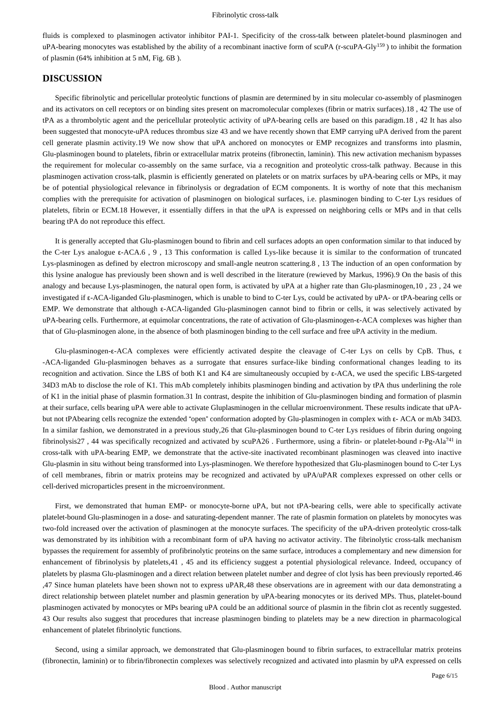fluids is complexed to plasminogen activator inhibitor PAI-1. Specificity of the cross-talk between platelet-bound plasminogen and uPA-bearing monocytes was established by the ability of a recombinant inactive form of scuPA (r-scuPA-Gly<sup>159</sup>) to inhibit the formation of plasmin (64% inhibition at 5 nM, Fig. 6B ).

## **DISCUSSION**

Specific fibrinolytic and pericellular proteolytic functions of plasmin are determined by in situ molecular co-assembly of plasminogen and its activators on cell receptors or on binding sites present on macromolecular complexes (fibrin or matrix surfaces).18 , 42 The use of tPA as a thrombolytic agent and the pericellular proteolytic activity of uPA-bearing cells are based on this paradigm.18 , 42 It has also been suggested that monocyte-uPA reduces thrombus size 43 and we have recently shown that EMP carrying uPA derived from the parent cell generate plasmin activity.19 We now show that uPA anchored on monocytes or EMP recognizes and transforms into plasmin, Glu-plasminogen bound to platelets, fibrin or extracellular matrix proteins (fibronectin, laminin). This new activation mechanism bypasses the requirement for molecular co-assembly on the same surface, via a recognition and proteolytic cross-talk pathway. Because in this plasminogen activation cross-talk, plasmin is efficiently generated on platelets or on matrix surfaces by uPA-bearing cells or MPs, it may be of potential physiological relevance in fibrinolysis or degradation of ECM components. It is worthy of note that this mechanism complies with the prerequisite for activation of plasminogen on biological surfaces, i.e. plasminogen binding to C-ter Lys residues of platelets, fibrin or ECM.18 However, it essentially differs in that the uPA is expressed on neighboring cells or MPs and in that cells bearing tPA do not reproduce this effect.

It is generally accepted that Glu-plasminogen bound to fibrin and cell surfaces adopts an open conformation similar to that induced by the C-ter Lys analogue ε-ACA.6 , 9 , 13 This conformation is called Lys-like because it is similar to the conformation of truncated Lys-plasminogen as defined by electron microscopy and small-angle neutron scattering.8 , 13 The induction of an open conformation by this lysine analogue has previously been shown and is well described in the literature (rewieved by Markus, 1996).9 On the basis of this analogy and because Lys-plasminogen, the natural open form, is activated by uPA at a higher rate than Glu-plasminogen,10 , 23 , 24 we investigated if ε-ACA-liganded Glu-plasminogen, which is unable to bind to C-ter Lys, could be activated by uPA- or tPA-bearing cells or EMP. We demonstrate that although ε-ACA-liganded Glu-plasminogen cannot bind to fibrin or cells, it was selectively activated by uPA-bearing cells. Furthermore, at equimolar concentrations, the rate of activation of Glu-plasminogen-ε-ACA complexes was higher than that of Glu-plasminogen alone, in the absence of both plasminogen binding to the cell surface and free uPA activity in the medium.

Glu-plasminogen-ε-ACA complexes were efficiently activated despite the cleavage of C-ter Lys on cells by CpB. Thus, ε -ACA-liganded Glu-plasminogen behaves as a surrogate that ensures surface-like binding conformational changes leading to its recognition and activation. Since the LBS of both K1 and K4 are simultaneously occupied by ε-ACA, we used the specific LBS-targeted 34D3 mAb to disclose the role of K1. This mAb completely inhibits plasminogen binding and activation by tPA thus underlining the role of K1 in the initial phase of plasmin formation.31 In contrast, despite the inhibition of Glu-plasminogen binding and formation of plasmin at their surface, cells bearing uPA were able to activate Gluplasminogen in the cellular microenvironment. These results indicate that uPAbut not tPAbearing cells recognize the extended "open" conformation adopted by Glu-plasminogen in complex with ε- ACA or mAb 34D3. In a similar fashion, we demonstrated in a previous study,26 that Glu-plasminogen bound to C-ter Lys residues of fibrin during ongoing fibrinolysis27, 44 was specifically recognized and activated by scuPA26. Furthermore, using a fibrin- or platelet-bound r-Pg-Ala<sup>741</sup> in cross-talk with uPA-bearing EMP, we demonstrate that the active-site inactivated recombinant plasminogen was cleaved into inactive Glu-plasmin in situ without being transformed into Lys-plasminogen. We therefore hypothesized that Glu-plasminogen bound to C-ter Lys of cell membranes, fibrin or matrix proteins may be recognized and activated by uPA/uPAR complexes expressed on other cells or cell-derived microparticles present in the microenvironment.

First, we demonstrated that human EMP- or monocyte-borne uPA, but not tPA-bearing cells, were able to specifically activate platelet-bound Glu-plasminogen in a dose- and saturating-dependent manner. The rate of plasmin formation on platelets by monocytes was two-fold increased over the activation of plasminogen at the monocyte surfaces. The specificity of the uPA-driven proteolytic cross-talk was demonstrated by its inhibition with a recombinant form of uPA having no activator activity. The fibrinolytic cross-talk mechanism bypasses the requirement for assembly of profibrinolytic proteins on the same surface, introduces a complementary and new dimension for enhancement of fibrinolysis by platelets,41 , 45 and its efficiency suggest a potential physiological relevance. Indeed, occupancy of platelets by plasma Glu-plasminogen and a direct relation between platelet number and degree of clot lysis has been previously reported.46 ,47 Since human platelets have been shown not to express uPAR,48 these observations are in agreement with our data demonstrating a direct relationship between platelet number and plasmin generation by uPA-bearing monocytes or its derived MPs. Thus, platelet-bound plasminogen activated by monocytes or MPs bearing uPA could be an additional source of plasmin in the fibrin clot as recently suggested. 43 Our results also suggest that procedures that increase plasminogen binding to platelets may be a new direction in pharmacological enhancement of platelet fibrinolytic functions.

Second, using a similar approach, we demonstrated that Glu-plasminogen bound to fibrin surfaces, to extracellular matrix proteins (fibronectin, laminin) or to fibrin/fibronectin complexes was selectively recognized and activated into plasmin by uPA expressed on cells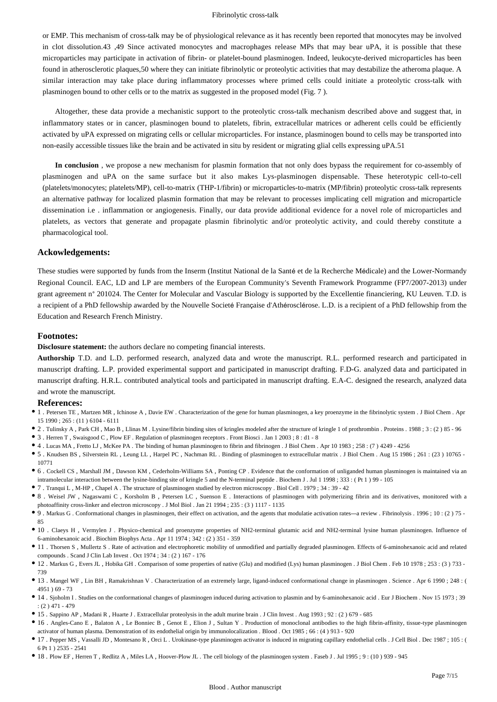or EMP. This mechanism of cross-talk may be of physiological relevance as it has recently been reported that monocytes may be involved in clot dissolution.43 ,49 Since activated monocytes and macrophages release MPs that may bear uPA, it is possible that these microparticles may participate in activation of fibrin- or platelet-bound plasminogen. Indeed, leukocyte-derived microparticles has been found in atherosclerotic plaques,50 where they can initiate fibrinolytic or proteolytic activities that may destabilize the atheroma plaque. A similar interaction may take place during inflammatory processes where primed cells could initiate a proteolytic cross-talk with plasminogen bound to other cells or to the matrix as suggested in the proposed model (Fig. 7 ).

Altogether, these data provide a mechanistic support to the proteolytic cross-talk mechanism described above and suggest that, in inflammatory states or in cancer, plasminogen bound to platelets, fibrin, extracellular matrices or adherent cells could be efficiently activated by uPA expressed on migrating cells or cellular microparticles. For instance, plasminogen bound to cells may be transported into non-easily accessible tissues like the brain and be activated in situ by resident or migrating glial cells expressing uPA.51

**In conclusion** , we propose a new mechanism for plasmin formation that not only does bypass the requirement for co-assembly of plasminogen and uPA on the same surface but it also makes Lys-plasminogen dispensable. These heterotypic cell-to-cell (platelets/monocytes; platelets/MP), cell-to-matrix (THP-1/fibrin) or microparticles-to-matrix (MP/fibrin) proteolytic cross-talk represents an alternative pathway for localized plasmin formation that may be relevant to processes implicating cell migration and microparticle dissemination i.e . inflammation or angiogenesis. Finally, our data provide additional evidence for a novel role of microparticles and platelets, as vectors that generate and propagate plasmin fibrinolytic and/or proteolytic activity, and could thereby constitute a pharmacological tool.

#### **Ackowledgements:**

These studies were supported by funds from the Inserm (Institut National de la Santé et de la Recherche Médicale) and the Lower-Normandy Regional Council. EAC, LD and LP are members of the European Community's Seventh Framework Programme (FP7/2007-2013) under grant agreement n° 201024. The Center for Molecular and Vascular Biology is supported by the Excellentie financiering, KU Leuven. T.D. is a recipient of a PhD fellowship awarded by the Nouvelle Societé Française d'Athérosclérose. L.D. is a recipient of a PhD fellowship from the Education and Research French Ministry.

#### **Footnotes:**

**Disclosure statement:** the authors declare no competing financial interests.

**Authorship** T.D. and L.D. performed research, analyzed data and wrote the manuscript. R.L. performed research and participated in manuscript drafting. L.P. provided experimental support and participated in manuscript drafting. F.D-G. analyzed data and participated in manuscript drafting. H.R.L. contributed analytical tools and participated in manuscript drafting. E.A-C. designed the research, analyzed data and wrote the manuscript.

#### **References:**

- 1 . Petersen TE , Martzen MR , Ichinose A , Davie EW . Characterization of the gene for human plasminogen, a key proenzyme in the fibrinolytic system . J Biol Chem . Apr 15 1990 ; 265 : (11 ) 6104 - 6111
- 2 . Tulinsky A , Park CH , Mao B , Llinas M . Lysine/fibrin binding sites of kringles modeled after the structure of kringle 1 of prothrombin . Proteins . 1988 ; 3 : (2 ) 85 96
- 3 . Herren T , Swaisgood C , Plow EF . Regulation of plasminogen receptors . Front Biosci . Jan 1 2003 ; 8 : d1 8
- 4 . Lucas MA , Fretto LJ , McKee PA . The binding of human plasminogen to fibrin and fibrinogen . J Biol Chem . Apr 10 1983 ; 258 : (7 ) 4249 4256
- 5 . Knudsen BS , Silverstein RL , Leung LL , Harpel PC , Nachman RL . Binding of plasminogen to extracellular matrix . J Biol Chem . Aug 15 1986 ; 261 : (23 ) 10765 10771
- 6 . Cockell CS , Marshall JM , Dawson KM , Cederholm-Williams SA , Ponting CP . Evidence that the conformation of unliganded human plasminogen is maintained via an intramolecular interaction between the lysine-binding site of kringle 5 and the N-terminal peptide . Biochem J . Jul 1 1998 ; 333 : ( Pt 1 ) 99 - 105
- 7 . Tranqui L , M-HP , Chapel A . The structure of plasminogen studied by electron microscopy . Biol Cell . 1979 ; 34 : 39 42
- 8 . Weisel JW , Nagaswami C , Korsholm B , Petersen LC , Suenson E . Interactions of plasminogen with polymerizing fibrin and its derivatives, monitored with a photoaffinity cross-linker and electron microscopy . J Mol Biol . Jan 21 1994 ; 235 : (3 ) 1117 - 1135
- 9 . Markus G . Conformational changes in plasminogen, their effect on activation, and the agents that modulatie activation rates—a review . Fibrinolysis . 1996 ; 10 : (2 ) 75 85
- 10 . Claeys H , Vermylen J . Physico-chemical and proenzyme properties of NH2-terminal glutamic acid and NH2-terminal lysine human plasminogen. Influence of 6-aminohexanoic acid . Biochim Biophys Acta . Apr 11 1974 ; 342 : (2 ) 351 - 359
- 11 . Thorsen S , Mullertz S . Rate of activation and electrophoretic mobility of unmodified and partially degraded plasminogen. Effects of 6-aminohexanoic acid and related compounds . Scand J Clin Lab Invest . Oct 1974 ; 34 : (2 ) 167 - 176
- 12 . Markus G , Evers JL , Hobika GH . Comparison of some properties of native (Glu) and modified (Lys) human plasminogen . J Biol Chem . Feb 10 1978 ; 253 : (3 ) 733 739
- 13 . Mangel WF , Lin BH , Ramakrishnan V . Characterization of an extremely large, ligand-induced conformational change in plasminogen . Science . Apr 6 1990 ; 248 : ( 4951 ) 69 - 73
- $\bullet$  14 . Sjoholm I . Studies on the conformational changes of plasminogen induced during activation to plasmin and by 6-aminohexanoic acid . Eur J Biochem . Nov 15 1973 ; 39 : (2 ) 471 - 479
- 15 . Sappino AP , Madani R , Huarte J . Extracellular proteolysis in the adult murine brain . J Clin Invest . Aug 1993 ; 92 : (2 ) 679 685
- 16 . Angles-Cano E , Balaton A , Le Bonniec B , Genot E , Elion J , Sultan Y . Production of monoclonal antibodies to the high fibrin-affinity, tissue-type plasminogen activator of human plasma. Demonstration of its endothelial origin by immunolocalization . Blood . Oct 1985 ; 66 : (4 ) 913 - 920
- 17 . Pepper MS , Vassalli JD , Montesano R , Orci L . Urokinase-type plasminogen activator is induced in migrating capillary endothelial cells . J Cell Biol . Dec 1987 ; 105 : ( 6 Pt 1 ) 2535 - 2541
- 18 . Plow EF , Herren T , Redlitz A , Miles LA , Hoover-Plow JL . The cell biology of the plasminogen system . Faseb J . Jul 1995 ; 9 : (10 ) 939 945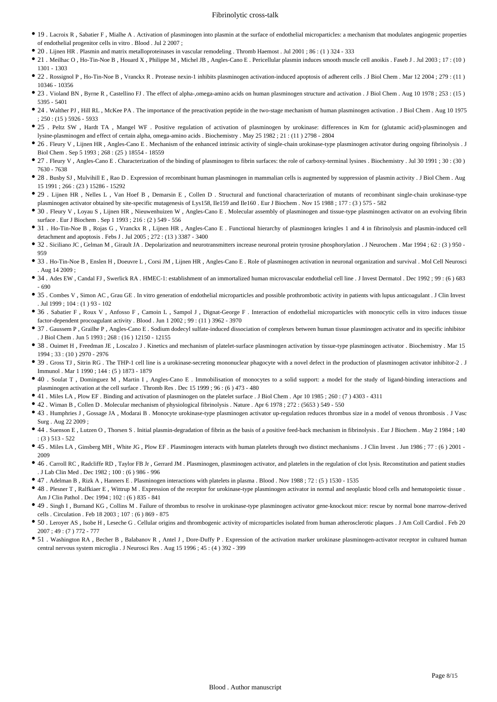- 19 . Lacroix R , Sabatier F , Mialhe A . Activation of plasminogen into plasmin at the surface of endothelial microparticles: a mechanism that modulates angiogenic properties of endothelial progenitor cells in vitro . Blood . Jul 2 2007 ;
- 20 . Lijnen HR . Plasmin and matrix metalloproteinases in vascular remodeling . Thromb Haemost . Jul 2001 ; 86 : (1 ) 324 333
- 21 . Meilhac O , Ho-Tin-Noe B , Houard X , Philippe M , Michel JB , Angles-Cano E . Pericellular plasmin induces smooth muscle cell anoikis . Faseb J . Jul 2003 ; 17 : (10 ) 1301 - 1303
- 22 . Rossignol P , Ho-Tin-Noe B , Vranckx R . Protease nexin-1 inhibits plasminogen activation-induced apoptosis of adherent cells . J Biol Chem . Mar 12 2004 ; 279 : (11 ) 10346 - 10356
- 23 . Violand BN , Byrne R , Castellino FJ . The effect of alpha-,omega-amino acids on human plasminogen structure and activation . J Biol Chem . Aug 10 1978 ; 253 : (15 ) 5395 - 5401
- 24 . Walther PJ , Hill RL , McKee PA . The importance of the preactivation peptide in the two-stage mechanism of human plasminogen activation . J Biol Chem . Aug 10 1975 ; 250 : (15 ) 5926 - 5933
- 25 . Peltz SW , Hardt TA , Mangel WF . Positive regulation of activation of plasminogen by urokinase: differences in Km for (glutamic acid)-plasminogen and lysine-plasminogen and effect of certain alpha, omega-amino acids . Biochemistry . May 25 1982 ; 21 : (11 ) 2798 - 2804
- 26 . Fleury V , Lijnen HR , Angles-Cano E . Mechanism of the enhanced intrinsic activity of single-chain urokinase-type plasminogen activator during ongoing fibrinolysis . J Biol Chem . Sep 5 1993 ; 268 : (25 ) 18554 - 18559
- 27 . Fleury V , Angles-Cano E . Characterization of the binding of plasminogen to fibrin surfaces: the role of carboxy-terminal lysines . Biochemistry . Jul 30 1991 ; 30 : (30 ) 7630 - 7638
- 28 . Busby SJ , Mulvihill E , Rao D . Expression of recombinant human plasminogen in mammalian cells is augmented by suppression of plasmin activity . J Biol Chem . Aug 15 1991 ; 266 : (23 ) 15286 - 15292
- 29 . Lijnen HR , Nelles L , Van Hoef B , Demarsin E , Collen D . Structural and functional characterization of mutants of recombinant single-chain urokinase-type plasminogen activator obtained by site-specific mutagenesis of Lys158, Ile159 and Ile160 . Eur J Biochem . Nov 15 1988 ; 177 : (3 ) 575 - 582
- 30 . Fleury V, Loyau S, Lijnen HR, Nieuwenhuizen W, Angles-Cano E. Molecular assembly of plasminogen and tissue-type plasminogen activator on an evolving fibrin surface . Eur J Biochem . Sep 1 1993 ; 216 : (2 ) 549 - 556
- 31 . Ho-Tin-Noe B , Rojas G , Vranckx R , Lijnen HR , Angles-Cano E . Functional hierarchy of plasminogen kringles 1 and 4 in fibrinolysis and plasmin-induced cell detachment and apoptosis . Febs J . Jul 2005 ; 272 : (13 ) 3387 - 3400
- 32 . Siciliano JC , Gelman M , Girault JA . Depolarization and neurotransmitters increase neuronal protein tyrosine phosphorylation . J Neurochem . Mar 1994 ; 62 : (3 ) 950 959
- 33 . Ho-Tin-Noe B , Enslen H , Doeuvre L , Corsi JM , Lijnen HR , Angles-Cano E . Role of plasminogen activation in neuronal organization and survival . Mol Cell Neurosci . Aug 14 2009 ;
- 34 . Ades EW , Candal FJ , Swerlick RA . HMEC-1: establishment of an immortalized human microvascular endothelial cell line . J Invest Dermatol . Dec 1992 ; 99 : (6 ) 683 - 690
- 35 . Combes V, Simon AC, Grau GE . In vitro generation of endothelial microparticles and possible prothrombotic activity in patients with lupus anticoagulant . J Clin Invest . Jul 1999 ; 104 : (1 ) 93 - 102
- 36 . Sabatier F , Roux V , Anfosso F , Camoin L , Sampol J , Dignat-George F . Interaction of endothelial microparticles with monocytic cells in vitro induces tissue factor-dependent procoagulant activity . Blood . Jun 1 2002 ; 99 : (11 ) 3962 - 3970
- 37 . Gaussem P , Grailhe P , Angles-Cano E . Sodium dodecyl sulfate-induced dissociation of complexes between human tissue plasminogen activator and its specific inhibitor . J Biol Chem . Jun 5 1993 ; 268 : (16 ) 12150 - 12155
- 38 . Ouimet H , Freedman JE , Loscalzo J . Kinetics and mechanism of platelet-surface plasminogen activation by tissue-type plasminogen activator . Biochemistry . Mar 15 1994 ; 33 : (10 ) 2970 - 2976
- 39 . Gross TJ , Sitrin RG . The THP-1 cell line is a urokinase-secreting mononuclear phagocyte with a novel defect in the production of plasminogen activator inhibitor-2 . J Immunol . Mar 1 1990 ; 144 : (5 ) 1873 - 1879
- 40 . Soulat T , Dominguez M , Martin I , Angles-Cano E . Immobilisation of monocytes to a solid support: a model for the study of ligand-binding interactions and plasminogen activation at the cell surface . Thromb Res . Dec 15 1999 ; 96 : (6 ) 473 - 480
- 41 . Miles LA , Plow EF . Binding and activation of plasminogen on the platelet surface . J Biol Chem . Apr 10 1985 ; 260 : (7 ) 4303 4311
- 42 . Wiman B , Collen D . Molecular mechanism of physiological fibrinolysis . Nature . Apr 6 1978 ; 272 : (5653 ) 549 550
- 43 . Humphries J , Gossage JA , Modarai B . Monocyte urokinase-type plasminogen activator up-regulation reduces thrombus size in a model of venous thrombosis . J Vasc Surg . Aug 22 2009 ;
- 44 . Suenson E , Lutzen O , Thorsen S . Initial plasmin-degradation of fibrin as the basis of a positive feed-back mechanism in fibrinolysis . Eur J Biochem . May 2 1984 ; 140 : (3 ) 513 - 522
- 45 . Miles LA , Ginsberg MH , White JG , Plow EF . Plasminogen interacts with human platelets through two distinct mechanisms . J Clin Invest . Jun 1986 ; 77 : (6 ) 2001 2009
- 46 . Carroll RC , Radcliffe RD , Taylor FB Jr , Gerrard JM . Plasminogen, plasminogen activator, and platelets in the regulation of clot lysis. Reconstitution and patient studies . J Lab Clin Med . Dec 1982 ; 100 : (6 ) 986 - 996
- 47 . Adelman B , Rizk A , Hanners E . Plasminogen interactions with platelets in plasma . Blood . Nov 1988 ; 72 : (5 ) 1530 1535
- 48 . Plesner T , Ralfkiaer E , Wittrup M . Expression of the receptor for urokinase-type plasminogen activator in normal and neoplastic blood cells and hematopoietic tissue . Am J Clin Pathol . Dec 1994 ; 102 : (6 ) 835 - 841
- 49 . Singh I , Burnand KG , Collins M . Failure of thrombus to resolve in urokinase-type plasminogen activator gene-knockout mice: rescue by normal bone marrow-derived cells . Circulation . Feb 18 2003 ; 107 : (6 ) 869 - 875
- 50 . Leroyer AS , Isobe H , Leseche G . Cellular origins and thrombogenic activity of microparticles isolated from human atherosclerotic plaques . J Am Coll Cardiol . Feb 20 2007 ; 49 : (7 ) 772 - 777
- 51 . Washington RA , Becher B , Balabanov R , Antel J , Dore-Duffy P . Expression of the activation marker urokinase plasminogen-activator receptor in cultured human central nervous system microglia . J Neurosci Res . Aug 15 1996 ; 45 : (4 ) 392 - 399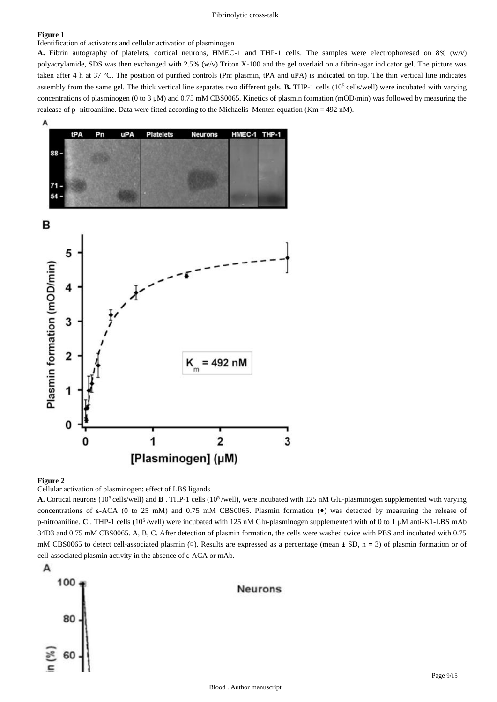### **Figure 1**

Identification of activators and cellular activation of plasminogen

**A.** Fibrin autography of platelets, cortical neurons, HMEC-1 and THP-1 cells. The samples were electrophoresed on 8% (w/v) polyacrylamide, SDS was then exchanged with 2.5% (w/v) Triton X-100 and the gel overlaid on a fibrin-agar indicator gel. The picture was taken after 4 h at 37 °C. The position of purified controls (Pn: plasmin, tPA and uPA) is indicated on top. The thin vertical line indicates assembly from the same gel. The thick vertical line separates two different gels. **B.** THP-1 cells (10<sup>5</sup> cells/well) were incubated with varying concentrations of plasminogen (0 to 3 μM) and 0.75 mM CBS0065. Kinetics of plasmin formation (mOD/min) was followed by measuring the realease of p -nitroaniline. Data were fitted according to the Michaelis–Menten equation (Km = 492 nM).



#### **Figure 2**

Cellular activation of plasminogen: effect of LBS ligands

**A.** Cortical neurons (10<sup>5</sup> cells/well) and **B**. THP-1 cells (10<sup>5</sup>/well), were incubated with 125 nM Glu-plasminogen supplemented with varying concentrations of ε-ACA (0 to 25 mM) and 0.75 mM CBS0065. Plasmin formation ( $\bullet$ ) was detected by measuring the release of p-nitroaniline. **C** . THP-1 cells (10<sup>5</sup>/well) were incubated with 125 nM Glu-plasminogen supplemented with of 0 to 1 μM anti-K1-LBS mAb 34D3 and 0.75 mM CBS0065. A, B, C. After detection of plasmin formation, the cells were washed twice with PBS and incubated with 0.75 mM CBS0065 to detect cell-associated plasmin  $(\square)$ . Results are expressed as a percentage (mean  $\pm$  SD, n = 3) of plasmin formation or of cell-associated plasmin activity in the absence of ε-ACA or mAb.

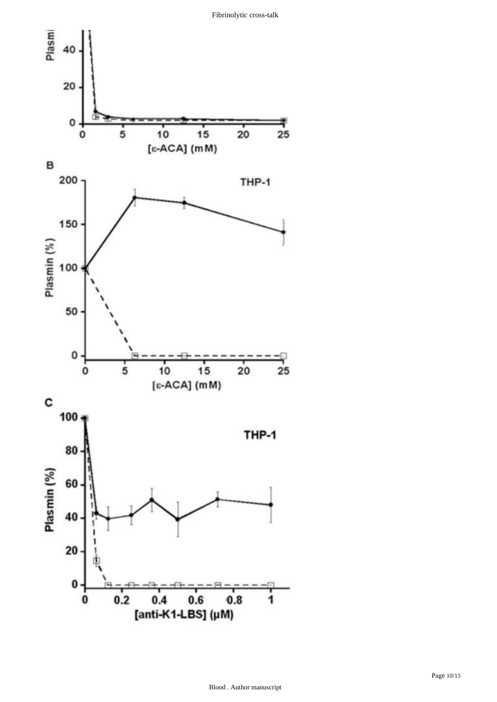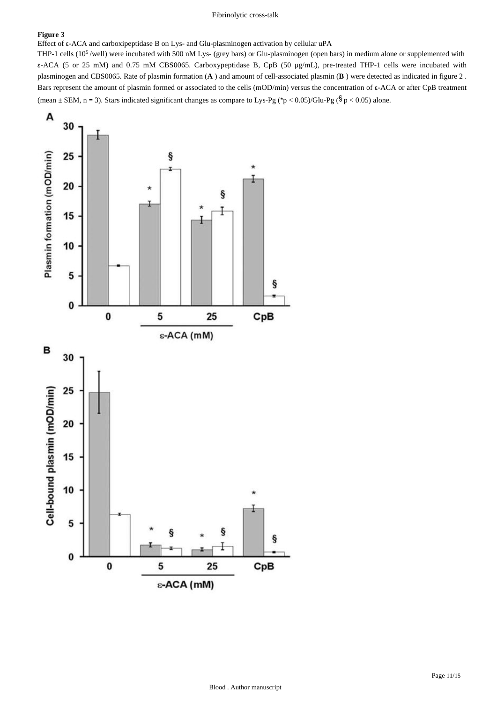## **Figure 3**

Effect of ε-ACA and carboxipeptidase B on Lys- and Glu-plasminogen activation by cellular uPA

THP-1 cells  $(10^5$ /well) were incubated with 500 nM Lys- (grey bars) or Glu-plasminogen (open bars) in medium alone or supplemented with ε-ACA (5 or 25 mM) and 0.75 mM CBS0065. Carboxypeptidase B, CpB (50 μg/mL), pre-treated THP-1 cells were incubated with plasminogen and CBS0065. Rate of plasmin formation (**A** ) and amount of cell-associated plasmin (**B** ) were detected as indicated in figure 2 . Bars represent the amount of plasmin formed or associated to the cells (mOD/min) versus the concentration of ε-ACA or after CpB treatment (mean  $\pm$  SEM, n = 3). Stars indicated significant changes as compare to Lys-Pg (\*p < 0.05)/Glu-Pg ( $\frac{6}{9}$  < 0.05) alone.

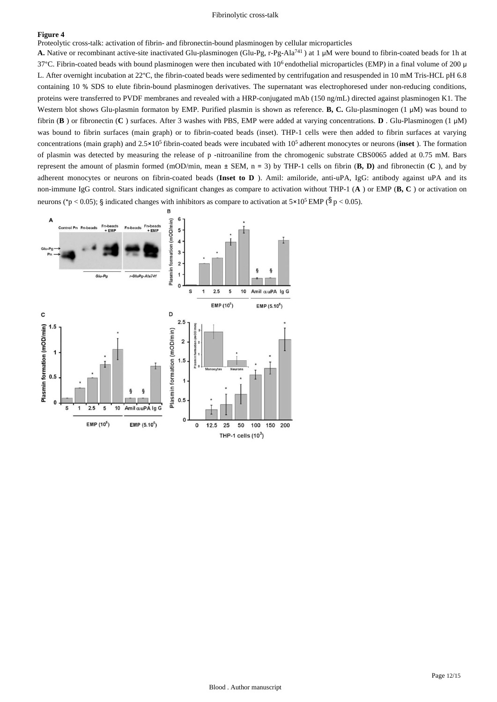#### **Figure 4**

Proteolytic cross-talk: activation of fibrin- and fibronectin-bound plasminogen by cellular microparticles

A. Native or recombinant active-site inactivated Glu-plasminogen (Glu-Pg, r-Pg-Ala<sup>741</sup>) at 1 μM were bound to fibrin-coated beads for 1h at 37°C. Fibrin-coated beads with bound plasminogen were then incubated with 10<sup>6</sup> endothelial microparticles (EMP) in a final volume of 200 μ L. After overnight incubation at 22°C, the fibrin-coated beads were sedimented by centrifugation and resuspended in 10 mM Tris-HCL pH 6.8 containing 10 % SDS to elute fibrin-bound plasminogen derivatives. The supernatant was electrophoresed under non-reducing conditions, proteins were transferred to PVDF membranes and revealed with a HRP-conjugated mAb (150 ng/mL) directed against plasminogen K1. The Western blot shows Glu-plasmin formaton by EMP. Purified plasmin is shown as reference. **B, C.** Glu-plasminogen (1 μM) was bound to fibrin (**B** ) or fibronectin (**C** ) surfaces. After 3 washes with PBS, EMP were added at varying concentrations. **D** . Glu-Plasminogen (1 μM) was bound to fibrin surfaces (main graph) or to fibrin-coated beads (inset). THP-1 cells were then added to fibrin surfaces at varying concentrations (main graph) and  $2.5 \times 10^5$  fibrin-coated beads were incubated with  $10^5$  adherent monocytes or neurons (inset ). The formation of plasmin was detected by measuring the release of p -nitroaniline from the chromogenic substrate CBS0065 added at 0.75 mM. Bars represent the amount of plasmin formed (mOD/min, mean ± SEM, n = 3) by THP-1 cells on fibrin (**B, D)** and fibronectin (**C** ), and by adherent monocytes or neurons on fibrin-coated beads (**Inset to D** ). Amil: amiloride, anti-uPA, IgG: antibody against uPA and its non-immune IgG control. Stars indicated significant changes as compare to activation without THP-1 (**A** ) or EMP (**B, C** ) or activation on neurons (\*p < 0.05); § indicated changes with inhibitors as compare to activation at  $5 \times 10^5$  EMP ( $\frac{5}{9}$  p < 0.05).

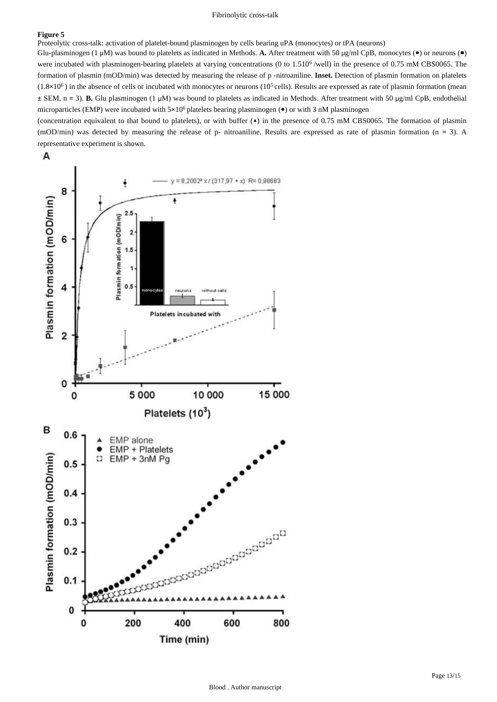#### **Figure 5**

Proteolytic cross-talk: activation of platelet-bound plasminogen by cells bearing uPA (monocytes) or tPA (neurons)

Glu-plasminogen (1 μM) was bound to platelets as indicated in Methods. **A.** After treatment with 50 μg/ml CpB, monocytes (●) or neurons (■) were incubated with plasminogen-bearing platelets at varying concentrations (0 to  $1.510<sup>6</sup>$ /well) in the presence of 0.75 mM CBS0065. The formation of plasmin (mOD/min) was detected by measuring the release of p -nitroaniline. **Inset.** Detection of plasmin formation on platelets  $(1.8\times10^6)$  in the absence of cells or incubated with monocytes or neurons  $(10^5$  cells). Results are expressed as rate of plasmin formation (mean ± SEM, n = 3). **B.** Glu plasminogen (1 μM) was bound to platelets as indicated in Methods. After treatment with 50 μg/ml CpB, endothelial microparticles (EMP) were incubated with  $5\times10^6$  platelets bearing plasminogen ( $\bullet$ ) or with 3 nM plasminogen

(concentration equivalent to that bound to platelets), or with buffer (▲) in the presence of 0.75 mM CBS0065. The formation of plasmin (mOD/min) was detected by measuring the release of p- nitroaniline. Results are expressed as rate of plasmin formation (n = 3). A representative experiment is shown.

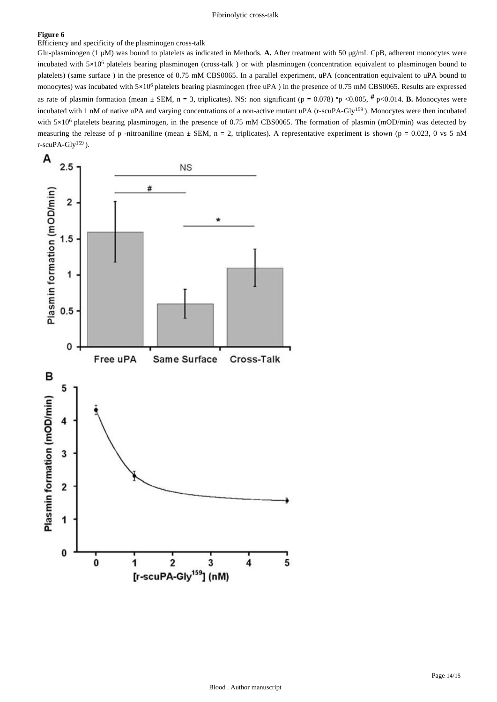## **Figure 6**

Efficiency and specificity of the plasminogen cross-talk

Glu-plasminogen (1 μM) was bound to platelets as indicated in Methods. **A.** After treatment with 50 μg/mL CpB, adherent monocytes were incubated with  $5\times10^6$  platelets bearing plasminogen (cross-talk) or with plasminogen (concentration equivalent to plasminogen bound to platelets) (same surface ) in the presence of 0.75 mM CBS0065. In a parallel experiment, uPA (concentration equivalent to uPA bound to monocytes) was incubated with  $5\times10^6$  platelets bearing plasminogen (free uPA) in the presence of 0.75 mM CBS0065. Results are expressed as rate of plasmin formation (mean  $\pm$  SEM, n = 3, triplicates). NS: non significant (p = 0.078) \*p <0.005,  $\#$  p<0.014. **B.** Monocytes were incubated with 1 nM of native uPA and varying concentrations of a non-active mutant uPA (r-scuPA-Gly<sup>159</sup>). Monocytes were then incubated with  $5\times10^6$  platelets bearing plasminogen, in the presence of 0.75 mM CBS0065. The formation of plasmin (mOD/min) was detected by measuring the release of p -nitroaniline (mean  $\pm$  SEM, n = 2, triplicates). A representative experiment is shown (p = 0.023, 0 vs 5 nM r-scuPA-Gly<sup>159</sup>).